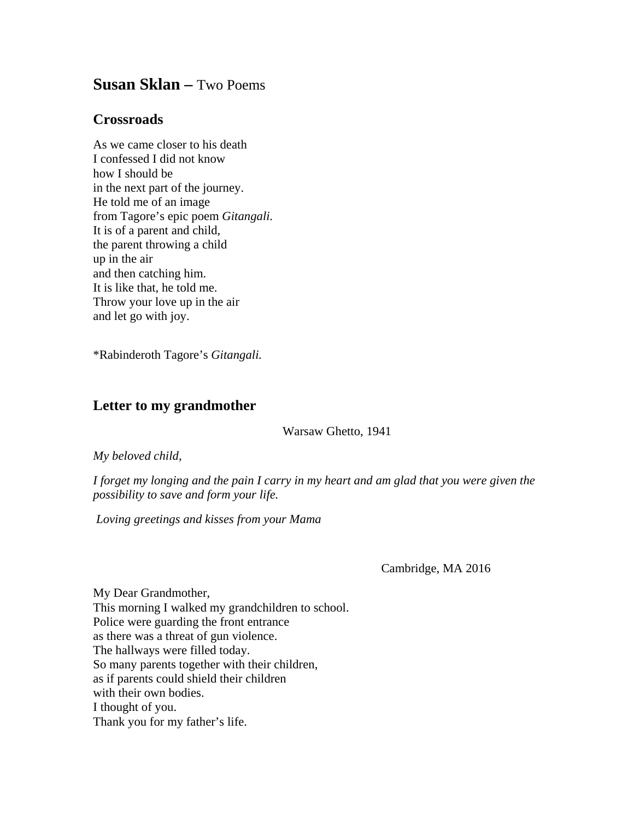## **Susan Sklan –** Two Poems

## **Crossroads**

As we came closer to his death I confessed I did not know how I should be in the next part of the journey. He told me of an image from Tagore's epic poem *Gitangali.* It is of a parent and child, the parent throwing a child up in the air and then catching him. It is like that, he told me. Throw your love up in the air and let go with joy.

\*Rabinderoth Tagore's *Gitangali.*

## **Letter to my grandmother**

Warsaw Ghetto, 1941

*My beloved child,* 

*I forget my longing and the pain I carry in my heart and am glad that you were given the possibility to save and form your life.*

*Loving greetings and kisses from your Mama*

Cambridge, MA 2016

My Dear Grandmother, This morning I walked my grandchildren to school. Police were guarding the front entrance as there was a threat of gun violence. The hallways were filled today. So many parents together with their children, as if parents could shield their children with their own bodies. I thought of you. Thank you for my father's life.